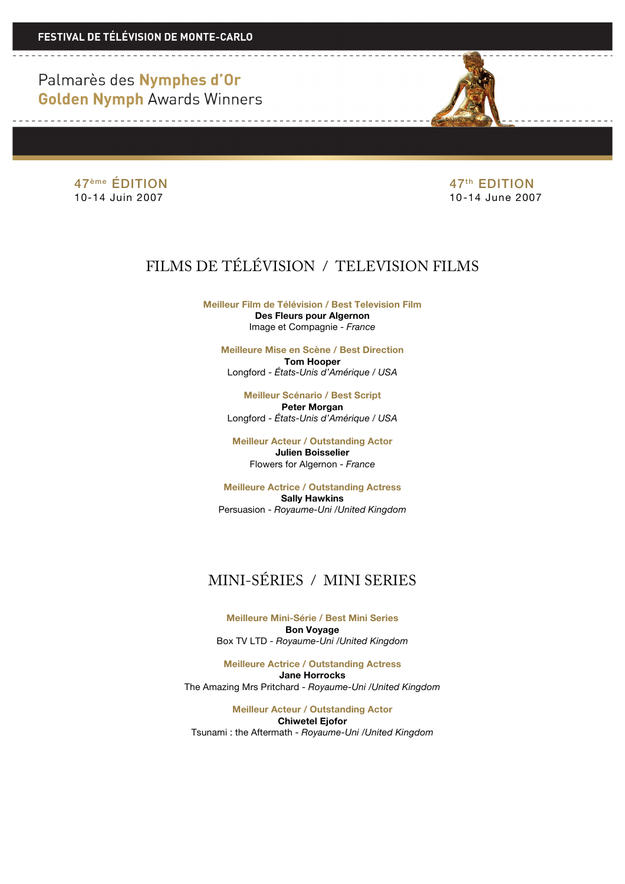47<sup>ème</sup> ÉDITION 47<sup>ème</sup> ÉDITION<br>10-14 Juin 2007 <del>10 14 June 200</del>

10-14 June 2007

## FILMS DE TÉLÉVISION / TELEVISION FILMS

**Meilleur Film de Télévision / Best Television Film Des Fleurs pour Algernon** Image et Compagnie - *France*

**Meilleure Mise en Scène / Best Direction Tom Hooper** Longford - *États-Unis d'Amérique / USA* 

**Meilleur Scénario / Best Script Peter Morgan** Longford - *États-Unis d'Amérique / USA* 

**Meilleur Acteur / Outstanding Actor Julien Boisselier** Flowers for Algernon - *France*

**Meilleure Actrice / Outstanding Actress Sally Hawkins** Persuasion - *Royaume-Uni /United Kingdom*

# MINI-SÉRIES / MINI SERIES

**Meilleure Mini-Série / Best Mini Series Bon Voyage** Box TV LTD - *Royaume-Uni /United Kingdom*

**Meilleure Actrice / Outstanding Actress Jane Horrocks** The Amazing Mrs Pritchard - *Royaume-Uni /United Kingdom*

**Meilleur Acteur / Outstanding Actor Chiwetel Ejofor** Tsunami : the Aftermath - *Royaume-Uni /United Kingdom*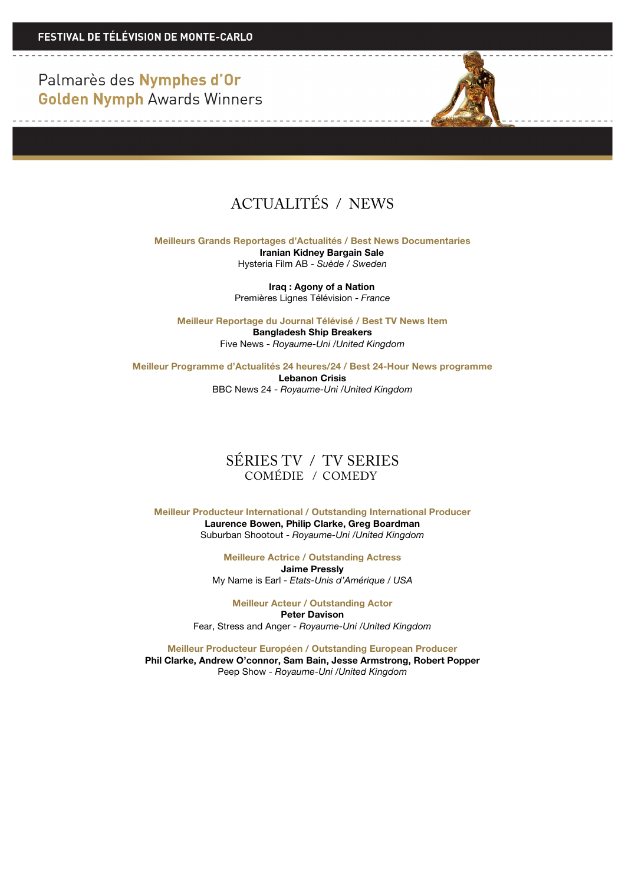

**Meilleurs Grands Reportages d'Actualités / Best News Documentaries Iranian Kidney Bargain Sale** Hysteria Film AB - *Suède / Sweden*

**Iraq : Agony of a Nation**

Premières Lignes Télévision - *France*

**Meilleur Reportage du Journal Télévisé / Best TV News Item Bangladesh Ship Breakers** Five News - *Royaume-Uni /United Kingdom*

**Meilleur Programme d'Actualités 24 heures/24 / Best 24-Hour News programme Lebanon Crisis** BBC News 24 - *Royaume-Uni /United Kingdom*

### SÉRIES TV / TV SERIES COMÉDIE / COMEDY

**Meilleur Producteur International / Outstanding International Producer Laurence Bowen, Philip Clarke, Greg Boardman** Suburban Shootout - *Royaume-Uni /United Kingdom*

> **Meilleure Actrice / Outstanding Actress Jaime Pressly** My Name is Earl - *Etats-Unis d'Amérique / USA*

**Meilleur Acteur / Outstanding Actor Peter Davison** Fear, Stress and Anger - *Royaume-Uni /United Kingdom*

**Meilleur Producteur Européen / Outstanding European Producer Phil Clarke, Andrew O'connor, Sam Bain, Jesse Armstrong, Robert Popper** Peep Show - *Royaume-Uni /United Kingdom*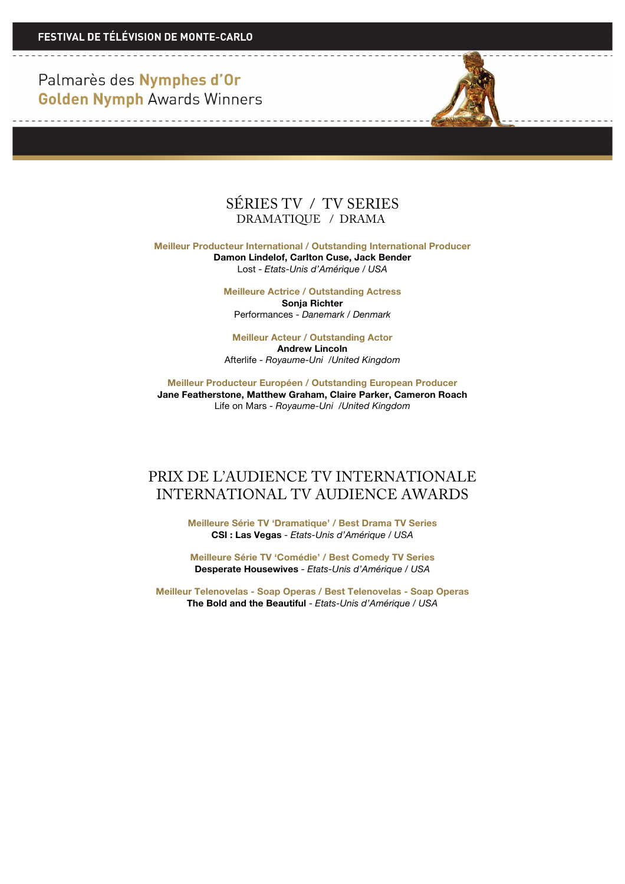<u> De la componenta de la componenta de la compo</u>

<u> 1989 - La Carlo Alemania de la C</u>



**Meilleur Producteur International / Outstanding International Producer Damon Lindelof, Carlton Cuse, Jack Bender** Lost - *Etats-Unis d'Amérique / USA*

> **Meilleure Actrice / Outstanding Actress Sonja Richter** Performances - *Danemark / Denmark*

> **Meilleur Acteur / Outstanding Actor Andrew Lincoln** Afterlife - *Royaume-Uni /United Kingdom*

**Meilleur Producteur Européen / Outstanding European Producer Jane Featherstone, Matthew Graham, Claire Parker, Cameron Roach** Life on Mars - *Royaume-Uni /United Kingdom*

### PRIX DE L'AUDIENCE TV INTERNATIONALE INTERNATIONAL TV AUDIENCE AWARDS

**Meilleure Série TV 'Dramatique' / Best Drama TV Series CSI : Las Vegas** - *Etats-Unis d'Amérique / USA*

**Meilleure Série TV 'Comédie' / Best Comedy TV Series Desperate Housewives** - *Etats-Unis d'Amérique / USA*

**Meilleur Telenovelas - Soap Operas / Best Telenovelas - Soap Operas The Bold and the Beautiful** - *Etats-Unis d'Amérique / USA*